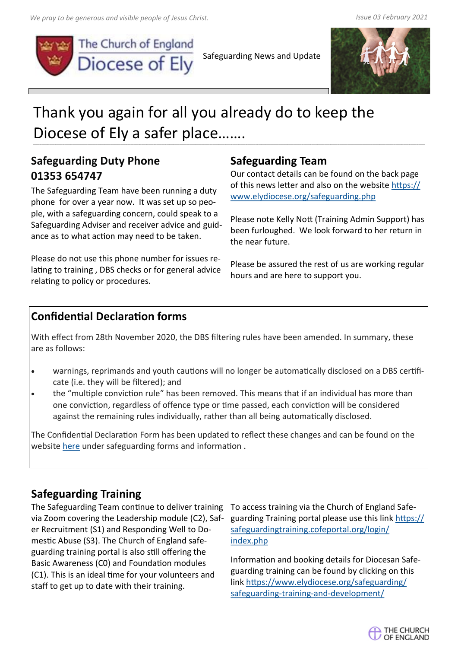

Safeguarding News and Update



# Thank you again for all you already do to keep the Diocese of Ely a safer place…….

## **Safeguarding Duty Phone 01353 654747**

The Safeguarding Team have been running a duty phone for over a year now. It was set up so people, with a safeguarding concern, could speak to a Safeguarding Adviser and receiver advice and guidance as to what action may need to be taken.

Please do not use this phone number for issues relating to training , DBS checks or for general advice relating to policy or procedures.

## **Safeguarding Team**

Our contact details can be found on the back page of this news letter and also on the website [https://](https://www.elydiocese.org/safeguarding.php) [www.elydiocese.org/safeguarding.php](https://www.elydiocese.org/safeguarding.php)

Please note Kelly Nott (Training Admin Support) has been furloughed. We look forward to her return in the near future.

Please be assured the rest of us are working regular hours and are here to support you.

## **Confidential Declaration forms**

With effect from 28th November 2020, the DBS filtering rules have been amended. In summary, these are as follows:

- warnings, reprimands and youth cautions will no longer be automatically disclosed on a DBS certificate (i.e. they will be filtered); and
- the "multiple conviction rule" has been removed. This means that if an individual has more than one conviction, regardless of offence type or time passed, each conviction will be considered against the remaining rules individually, rather than all being automatically disclosed.

The Confidential Declaration Form has been updated to reflect these changes and can be found on the website [here](https://www.elydiocese.org/safeguarding/safeguarding-templates-resources/) under safeguarding forms and information .

## **Safeguarding Training**

The Safeguarding Team continue to deliver training via Zoom covering the Leadership module (C2), Safer Recruitment (S1) and Responding Well to Domestic Abuse (S3). The Church of England safeguarding training portal is also still offering the Basic Awareness (C0) and Foundation modules (C1). This is an ideal time for your volunteers and staff to get up to date with their training.

To access training via the Church of England Safeguarding Training portal please use this link [https://](https://safeguardingtraining.cofeportal.org/login/index.php) [safeguardingtraining.cofeportal.org/login/](https://safeguardingtraining.cofeportal.org/login/index.php) [index.php](https://safeguardingtraining.cofeportal.org/login/index.php)

Information and booking details for Diocesan Safeguarding training can be found by clicking on this link [https://www.elydiocese.org/safeguarding/](https://www.elydiocese.org/safeguarding/safeguarding-training-and-development/) safeguarding-training-and-[development/](https://www.elydiocese.org/safeguarding/safeguarding-training-and-development/)